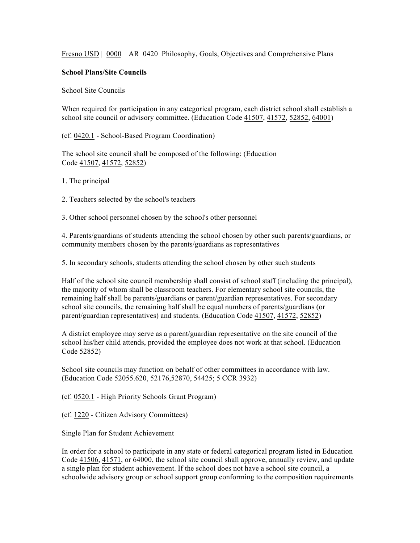Fresno USD | 0000 | AR 0420 Philosophy, Goals, Objectives and Comprehensive Plans

## **School Plans/Site Councils**

School Site Councils

When required for participation in any categorical program, each district school shall establish a school site council or advisory committee. (Education Code 41507, 41572, 52852, 64001)

(cf. 0420.1 - School-Based Program Coordination)

The school site council shall be composed of the following: (Education Code 41507, 41572, 52852)

1. The principal

2. Teachers selected by the school's teachers

3. Other school personnel chosen by the school's other personnel

4. Parents/guardians of students attending the school chosen by other such parents/guardians, or community members chosen by the parents/guardians as representatives

5. In secondary schools, students attending the school chosen by other such students

Half of the school site council membership shall consist of school staff (including the principal), the majority of whom shall be classroom teachers. For elementary school site councils, the remaining half shall be parents/guardians or parent/guardian representatives. For secondary school site councils, the remaining half shall be equal numbers of parents/guardians (or parent/guardian representatives) and students. (Education Code 41507, 41572, 52852)

A district employee may serve as a parent/guardian representative on the site council of the school his/her child attends, provided the employee does not work at that school. (Education Code 52852)

School site councils may function on behalf of other committees in accordance with law. (Education Code 52055.620, 52176,52870, 54425; 5 CCR 3932)

(cf. 0520.1 - High Priority Schools Grant Program)

(cf. 1220 - Citizen Advisory Committees)

Single Plan for Student Achievement

In order for a school to participate in any state or federal categorical program listed in Education Code 41506, 41571, or 64000, the school site council shall approve, annually review, and update a single plan for student achievement. If the school does not have a school site council, a schoolwide advisory group or school support group conforming to the composition requirements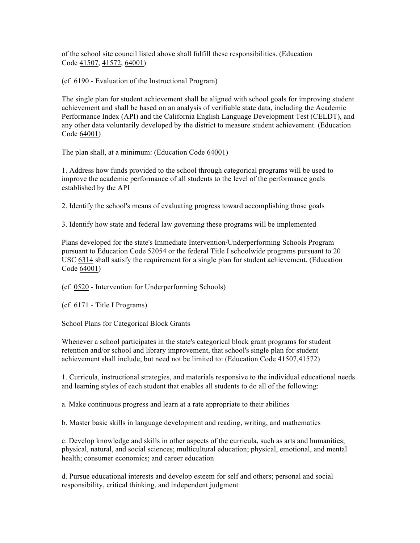of the school site council listed above shall fulfill these responsibilities. (Education Code 41507, 41572, 64001)

(cf. 6190 - Evaluation of the Instructional Program)

The single plan for student achievement shall be aligned with school goals for improving student achievement and shall be based on an analysis of verifiable state data, including the Academic Performance Index (API) and the California English Language Development Test (CELDT), and any other data voluntarily developed by the district to measure student achievement. (Education Code 64001)

The plan shall, at a minimum: (Education Code 64001)

1. Address how funds provided to the school through categorical programs will be used to improve the academic performance of all students to the level of the performance goals established by the API

2. Identify the school's means of evaluating progress toward accomplishing those goals

3. Identify how state and federal law governing these programs will be implemented

Plans developed for the state's Immediate Intervention/Underperforming Schools Program pursuant to Education Code 52054 or the federal Title I schoolwide programs pursuant to 20 USC 6314 shall satisfy the requirement for a single plan for student achievement. (Education Code 64001)

(cf. 0520 - Intervention for Underperforming Schools)

(cf. 6171 - Title I Programs)

School Plans for Categorical Block Grants

Whenever a school participates in the state's categorical block grant programs for student retention and/or school and library improvement, that school's single plan for student achievement shall include, but need not be limited to: (Education Code 41507,41572)

1. Curricula, instructional strategies, and materials responsive to the individual educational needs and learning styles of each student that enables all students to do all of the following:

a. Make continuous progress and learn at a rate appropriate to their abilities

b. Master basic skills in language development and reading, writing, and mathematics

c. Develop knowledge and skills in other aspects of the curricula, such as arts and humanities; physical, natural, and social sciences; multicultural education; physical, emotional, and mental health; consumer economics; and career education

d. Pursue educational interests and develop esteem for self and others; personal and social responsibility, critical thinking, and independent judgment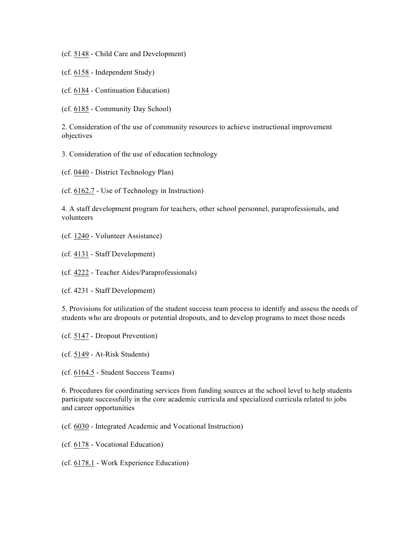(cf. 5148 - Child Care and Development)

(cf. 6158 - Independent Study)

(cf. 6184 - Continuation Education)

(cf. 6185 - Community Day School)

2. Consideration of the use of community resources to achieve instructional improvement objectives

3. Consideration of the use of education technology

(cf. 0440 - District Technology Plan)

(cf. 6162.7 - Use of Technology in Instruction)

4. A staff development program for teachers, other school personnel, paraprofessionals, and volunteers

(cf. 1240 - Volunteer Assistance)

(cf. 4131 - Staff Development)

(cf. 4222 - Teacher Aides/Paraprofessionals)

(cf. 4231 - Staff Development)

5. Provisions for utilization of the student success team process to identify and assess the needs of students who are dropouts or potential dropouts, and to develop programs to meet those needs

(cf. 5147 - Dropout Prevention)

(cf. 5149 - At-Risk Students)

(cf. 6164.5 - Student Success Teams)

6. Procedures for coordinating services from funding sources at the school level to help students participate successfully in the core academic curricula and specialized curricula related to jobs and career opportunities

(cf. 6030 - Integrated Academic and Vocational Instruction)

(cf. 6178 - Vocational Education)

(cf. 6178.1 - Work Experience Education)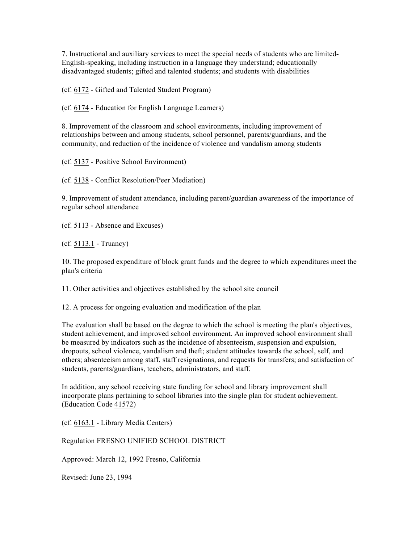7. Instructional and auxiliary services to meet the special needs of students who are limited-English-speaking, including instruction in a language they understand; educationally disadvantaged students; gifted and talented students; and students with disabilities

(cf. 6172 - Gifted and Talented Student Program)

(cf. 6174 - Education for English Language Learners)

8. Improvement of the classroom and school environments, including improvement of relationships between and among students, school personnel, parents/guardians, and the community, and reduction of the incidence of violence and vandalism among students

(cf. 5137 - Positive School Environment)

(cf. 5138 - Conflict Resolution/Peer Mediation)

9. Improvement of student attendance, including parent/guardian awareness of the importance of regular school attendance

(cf. 5113 - Absence and Excuses)

(cf. 5113.1 - Truancy)

10. The proposed expenditure of block grant funds and the degree to which expenditures meet the plan's criteria

11. Other activities and objectives established by the school site council

12. A process for ongoing evaluation and modification of the plan

The evaluation shall be based on the degree to which the school is meeting the plan's objectives, student achievement, and improved school environment. An improved school environment shall be measured by indicators such as the incidence of absenteeism, suspension and expulsion, dropouts, school violence, vandalism and theft; student attitudes towards the school, self, and others; absenteeism among staff, staff resignations, and requests for transfers; and satisfaction of students, parents/guardians, teachers, administrators, and staff.

In addition, any school receiving state funding for school and library improvement shall incorporate plans pertaining to school libraries into the single plan for student achievement. (Education Code 41572)

(cf. 6163.1 - Library Media Centers)

Regulation FRESNO UNIFIED SCHOOL DISTRICT

Approved: March 12, 1992 Fresno, California

Revised: June 23, 1994